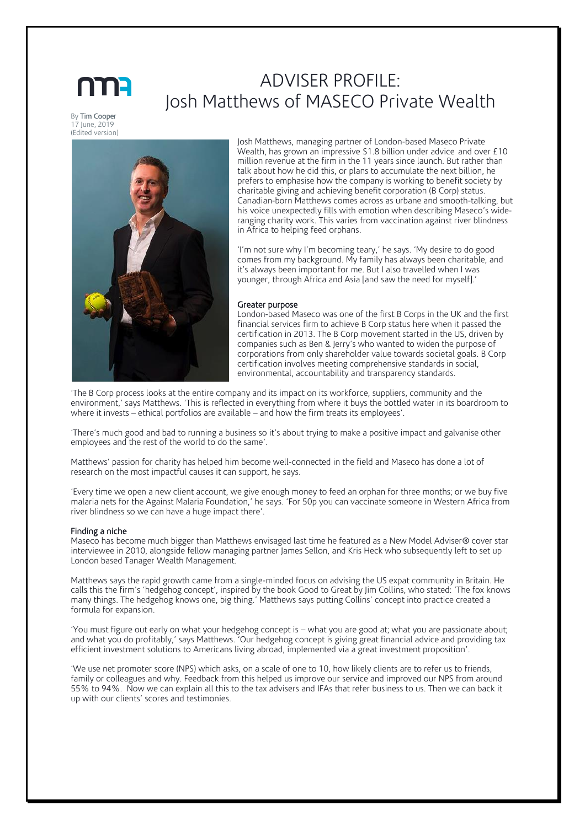# ADVISER PROFILE: Josh Matthews of MASECO Private Wealth

By Tim Cooper 17 June, 2019 (Edited version)



Josh Matthews, managing partner of London-based Maseco Private Wealth, has grown an impressive \$1.8 billion under advice and over £10 million revenue at the firm in the 11 years since launch. But rather than talk about how he did this, or plans to accumulate the next billion, he prefers to emphasise how the company is working to benefit society by charitable giving and achieving benefit corporation (B Corp) status. Canadian-born Matthews comes across as urbane and smooth-talking, but his voice unexpectedly fills with emotion when describing Maseco's wideranging charity work. This varies from vaccination against river blindness in Africa to helping feed orphans.

'I'm not sure why I'm becoming teary,' he says. 'My desire to do good comes from my background. My family has always been charitable, and it's always been important for me. But I also travelled when I was younger, through Africa and Asia [and saw the need for myself].'

#### Greater purpose

London-based Maseco was one of the first B Corps in the UK and the first financial services firm to achieve B Corp status here when it passed the certification in 2013. The B Corp movement started in the US, driven by companies such as Ben & Jerry's who wanted to widen the purpose of corporations from only shareholder value towards societal goals. B Corp certification involves meeting comprehensive standards in social, environmental, accountability and transparency standards.

'The B Corp process looks at the entire company and its impact on its workforce, suppliers, community and the environment,' says Matthews. 'This is reflected in everything from where it buys the bottled water in its boardroom to where it invests – ethical portfolios are available – and how the firm treats its employees'.

'There's much good and bad to running a business so it's about trying to make a positive impact and galvanise other employees and the rest of the world to do the same'.

Matthews' passion for charity has helped him become well-connected in the field and Maseco has done a lot of research on the most impactful causes it can support, he says.

'Every time we open a new client account, we give enough money to feed an orphan for three months; or we buy five malaria nets for the Against Malaria Foundation,' he says. 'For 50p you can vaccinate someone in Western Africa from river blindness so we can have a huge impact there'.

# Finding a niche

Maseco has become much bigger than Matthews envisaged last time he featured as a New Model Adviser® cover star interviewee in 2010, alongside fellow managing partner James Sellon, and Kris Heck who subsequently left to set up London based Tanager Wealth Management.

Matthews says the rapid growth came from a single-minded focus on advising the US expat community in Britain. He calls this the firm's 'hedgehog concept', inspired by the book Good to Great by Jim Collins, who stated: 'The fox knows many things. The hedgehog knows one, big thing.' Matthews says putting Collins' concept into practice created a formula for expansion.

'You must figure out early on what your hedgehog concept is – what you are good at; what you are passionate about; and what you do profitably,' says Matthews. 'Our hedgehog concept is giving great financial advice and providing tax efficient investment solutions to Americans living abroad, implemented via a great investment proposition'.

'We use net promoter score (NPS) which asks, on a scale of one to 10, how likely clients are to refer us to friends, family or colleagues and why. Feedback from this helped us improve our service and improved our NPS from around 55% to 94%. Now we can explain all this to the tax advisers and IFAs that refer business to us. Then we can back it up with our clients' scores and testimonies.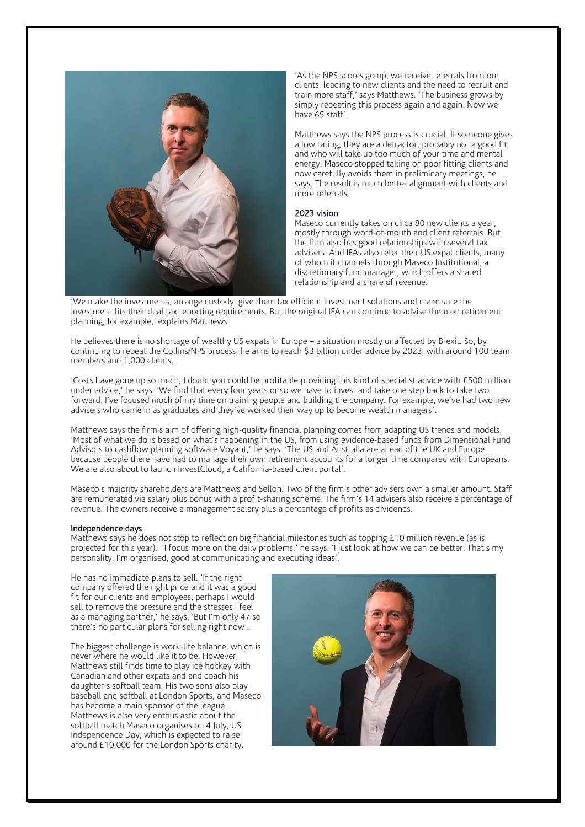

'As the NPS scores go up, we receive referrals from our clients, leading to new clients and the need to recruit and train more staff,' says Matthews. 'The business grows by simply repeating this process again and again. Now we have 65 staff'.

Matthews says the NPS process is crucial. If someone gives a low rating, they are a detractor, probably not a good fit and who will take up too much of your time and mental energy. Maseco stopped taking on poor fitting clients and now carefully avoids them in preliminary meetings, he says. The result is much better alignment with clients and more referrals.

# 2023 vision

Maseco currently takes on circa 80 new clients a year, mostly through word-of-mouth and client referrals. But the firm also has good relationships with several tax advisers. And IFAs also refer their US expat clients, many of whom it channels through Maseco Institutional, a discretionary fund manager, which offers a shared relationship and a share of revenue.

'We make the investments, arrange custody, give them tax efficient investment solutions and make sure the investment fits their dual tax reporting requirements. But the original IFA can continue to advise them on retirement planning, for example,' explains Matthews.

He believes there is no shortage of wealthy US expats in Europe – a situation mostly unaffected by Brexit. So, by continuing to repeat the Collins/NPS process, he aims to reach \$3 billion under advice by 2023, with around 100 team members and 1,000 clients.

'Costs have gone up so much, I doubt you could be profitable providing this kind of specialist advice with £500 million under advice,' he says. 'We find that every four years or so we have to invest and take one step back to take two forward. I've focused much of my time on training people and building the company. For example, we've had two new advisers who came in as graduates and they've worked their way up to become wealth managers'.

Matthews says the firm's aim of offering high-quality financial planning comes from adapting US trends and models. 'Most of what we do is based on what's happening in the US, from using evidence-based funds from Dimensional Fund Advisors to cashflow planning software Voyant,' he says. 'The US and Australia are ahead of the UK and Europe because people there have had to manage their own retirement accounts for a longer time compared with Europeans. We are also about to launch InvestCloud, a California-based client portal'.

Maseco's majority shareholders are Matthews and Sellon. Two of the firm's other advisers own a smaller amount. Staff are remunerated via salary plus bonus with a profit-sharing scheme. The firm's 14 advisers also receive a percentage of revenue. The owners receive a management salary plus a percentage of profits as dividends.

# Independence days

Matthews says he does not stop to reflect on big financial milestones such as topping £10 million revenue (as is projected for this year). 'I focus more on the daily problems,' he says. 'I just look at how we can be better. That's my personality. I'm organised, good at communicating and executing ideas'.

He has no immediate plans to sell. 'If the right company offered the right price and it was a good fit for our clients and employees, perhaps I would sell to remove the pressure and the stresses I feel as a managing partner,' he says. 'But I'm only 47 so there's no particular plans for selling right now'.

The biggest challenge is work-life balance, which is never where he would like it to be. However, Matthews still finds time to play ice hockey with Canadian and other expats and and coach his daughter's softball team. His two sons also play baseball and softball at London Sports, and Maseco has become a main sponsor of the league. Matthews is also very enthusiastic about the softball match Maseco organises on 4 July, US Independence Day, which is expected to raise around £10,000 for the London Sports charity.